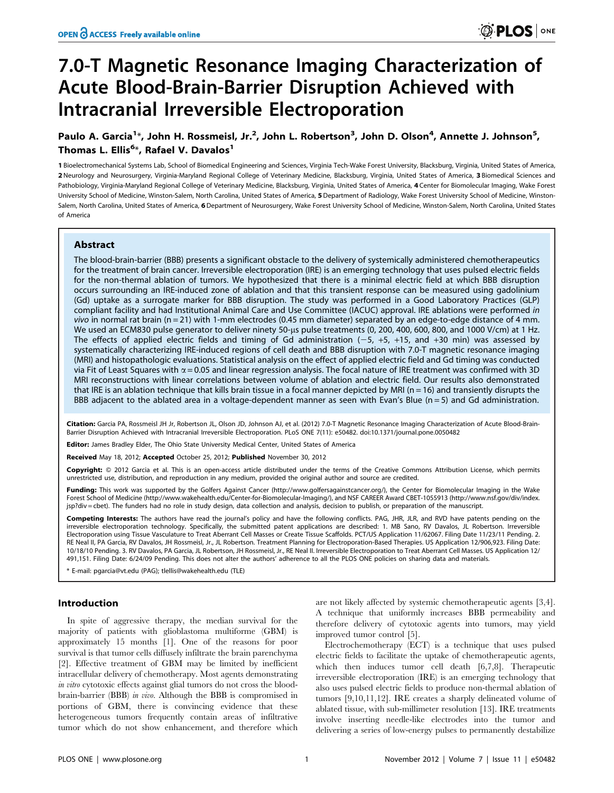# 7.0-T Magnetic Resonance Imaging Characterization of Acute Blood-Brain-Barrier Disruption Achieved with Intracranial Irreversible Electroporation

# Paulo A. Garcia<sup>1</sup>\*, John H. Rossmeisl, Jr.<sup>2</sup>, John L. Robertson<sup>3</sup>, John D. Olson<sup>4</sup>, Annette J. Johnson<sup>5</sup>, Thomas L. Ellis<sup>6</sup>\*, Rafael V. Davalos<sup>1</sup>

1 Bioelectromechanical Systems Lab, School of Biomedical Engineering and Sciences, Virginia Tech-Wake Forest University, Blacksburg, Virginia, United States of America, 2 Neurology and Neurosurgery, Virginia-Maryland Regional College of Veterinary Medicine, Blacksburg, Virginia, United States of America, 3 Biomedical Sciences and Pathobiology, Virginia-Maryland Regional College of Veterinary Medicine, Blacksburg, Virginia, United States of America, 4 Center for Biomolecular Imaging, Wake Forest University School of Medicine, Winston-Salem, North Carolina, United States of America, 5Department of Radiology, Wake Forest University School of Medicine, Winston-Salem, North Carolina, United States of America, 6 Department of Neurosurgery, Wake Forest University School of Medicine, Winston-Salem, North Carolina, United States of America

## Abstract

The blood-brain-barrier (BBB) presents a significant obstacle to the delivery of systemically administered chemotherapeutics for the treatment of brain cancer. Irreversible electroporation (IRE) is an emerging technology that uses pulsed electric fields for the non-thermal ablation of tumors. We hypothesized that there is a minimal electric field at which BBB disruption occurs surrounding an IRE-induced zone of ablation and that this transient response can be measured using gadolinium (Gd) uptake as a surrogate marker for BBB disruption. The study was performed in a Good Laboratory Practices (GLP) compliant facility and had Institutional Animal Care and Use Committee (IACUC) approval. IRE ablations were performed in vivo in normal rat brain (n = 21) with 1-mm electrodes (0.45 mm diameter) separated by an edge-to-edge distance of 4 mm. We used an ECM830 pulse generator to deliver ninety 50-us pulse treatments (0, 200, 400, 600, 800, and 1000 V/cm) at 1 Hz. The effects of applied electric fields and timing of Gd administration  $(-5, +5, +15,$  and +30 min) was assessed by systematically characterizing IRE-induced regions of cell death and BBB disruption with 7.0-T magnetic resonance imaging (MRI) and histopathologic evaluations. Statistical analysis on the effect of applied electric field and Gd timing was conducted via Fit of Least Squares with  $\alpha$  = 0.05 and linear regression analysis. The focal nature of IRE treatment was confirmed with 3D MRI reconstructions with linear correlations between volume of ablation and electric field. Our results also demonstrated that IRE is an ablation technique that kills brain tissue in a focal manner depicted by MRI ( $n = 16$ ) and transiently disrupts the BBB adjacent to the ablated area in a voltage-dependent manner as seen with Evan's Blue (n = 5) and Gd administration.

Citation: Garcia PA, Rossmeisl JH Jr, Robertson JL, Olson JD, Johnson AJ, et al. (2012) 7.0-T Magnetic Resonance Imaging Characterization of Acute Blood-Brain-Barrier Disruption Achieved with Intracranial Irreversible Electroporation. PLoS ONE 7(11): e50482. doi:10.1371/journal.pone.0050482

Editor: James Bradley Elder, The Ohio State University Medical Center, United States of America

Received May 18, 2012; Accepted October 25, 2012; Published November 30, 2012

Copyright: © 2012 Garcia et al. This is an open-access article distributed under the terms of the Creative Commons Attribution License, which permits unrestricted use, distribution, and reproduction in any medium, provided the original author and source are credited.

Funding: This work was supported by the Golfers Against Cancer (http://www.golfersagainstcancer.org/), the Center for Biomolecular Imaging in the Wake Forest School of Medicine (http://www.wakehealth.edu/Center-for-Biomolecular-Imaging/), and NSF CAREER Award CBET-1055913 (http://www.nsf.gov/div/index. jsp?div = cbet). The funders had no role in study design, data collection and analysis, decision to publish, or preparation of the manuscript.

Competing Interests: The authors have read the journal's policy and have the following conflicts. PAG, JHR, JLR, and RVD have patents pending on the irreversible electroporation technology. Specifically, the submitted patent applications are described: 1. MB Sano, RV Davalos, JL Robertson. Irreversible<br>Electroporation using Tissue Vasculature to Treat Aberrant Cell Mas RE Neal II, PA Garcia, RV Davalos, JH Rossmeisl, Jr., JL Robertson. Treatment Planning for Electroporation-Based Therapies. US Application 12/906,923. Filing Date: 10/18/10 Pending. 3. RV Davalos, PA Garcia, JL Robertson, JH Rossmeisl, Jr., RE Neal II. Irreversible Electroporation to Treat Aberrant Cell Masses. US Application 12/ 491,151. Filing Date: 6/24/09 Pending. This does not alter the authors' adherence to all the PLOS ONE policies on sharing data and materials.

E-mail: pgarcia@vt.edu (PAG); tlellis@wakehealth.edu (TLE)

# Introduction

In spite of aggressive therapy, the median survival for the majority of patients with glioblastoma multiforme (GBM) is approximately 15 months [1]. One of the reasons for poor survival is that tumor cells diffusely infiltrate the brain parenchyma [2]. Effective treatment of GBM may be limited by inefficient intracellular delivery of chemotherapy. Most agents demonstrating in vitro cytotoxic effects against glial tumors do not cross the bloodbrain-barrier (BBB) in vivo. Although the BBB is compromised in portions of GBM, there is convincing evidence that these heterogeneous tumors frequently contain areas of infiltrative tumor which do not show enhancement, and therefore which

are not likely affected by systemic chemotherapeutic agents [3,4]. A technique that uniformly increases BBB permeability and therefore delivery of cytotoxic agents into tumors, may yield improved tumor control [5].

Electrochemotherapy (ECT) is a technique that uses pulsed electric fields to facilitate the uptake of chemotherapeutic agents, which then induces tumor cell death [6,7,8]. Therapeutic irreversible electroporation (IRE) is an emerging technology that also uses pulsed electric fields to produce non-thermal ablation of tumors [9,10,11,12]. IRE creates a sharply delineated volume of ablated tissue, with sub-millimeter resolution [13]. IRE treatments involve inserting needle-like electrodes into the tumor and delivering a series of low-energy pulses to permanently destabilize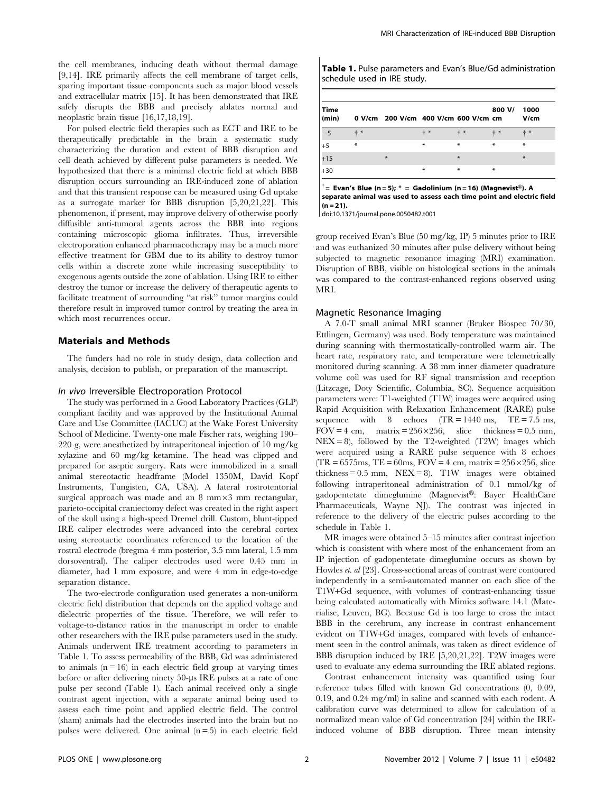the cell membranes, inducing death without thermal damage [9,14]. IRE primarily affects the cell membrane of target cells, sparing important tissue components such as major blood vessels and extracellular matrix [15]. It has been demonstrated that IRE safely disrupts the BBB and precisely ablates normal and neoplastic brain tissue [16,17,18,19].

For pulsed electric field therapies such as ECT and IRE to be therapeutically predictable in the brain a systematic study characterizing the duration and extent of BBB disruption and cell death achieved by different pulse parameters is needed. We hypothesized that there is a minimal electric field at which BBB disruption occurs surrounding an IRE-induced zone of ablation and that this transient response can be measured using Gd uptake as a surrogate marker for BBB disruption [5,20,21,22]. This phenomenon, if present, may improve delivery of otherwise poorly diffusible anti-tumoral agents across the BBB into regions containing microscopic glioma infiltrates. Thus, irreversible electroporation enhanced pharmacotherapy may be a much more effective treatment for GBM due to its ability to destroy tumor cells within a discrete zone while increasing susceptibility to exogenous agents outside the zone of ablation. Using IRE to either destroy the tumor or increase the delivery of therapeutic agents to facilitate treatment of surrounding ''at risk'' tumor margins could therefore result in improved tumor control by treating the area in which most recurrences occur.

# Materials and Methods

The funders had no role in study design, data collection and analysis, decision to publish, or preparation of the manuscript.

#### In vivo Irreversible Electroporation Protocol

The study was performed in a Good Laboratory Practices (GLP) compliant facility and was approved by the Institutional Animal Care and Use Committee (IACUC) at the Wake Forest University School of Medicine. Twenty-one male Fischer rats, weighing 190– 220 g, were anesthetized by intraperitoneal injection of 10 mg/kg xylazine and 60 mg/kg ketamine. The head was clipped and prepared for aseptic surgery. Rats were immobilized in a small animal stereotactic headframe (Model 1350M, David Kopf Instruments, Tungisten, CA, USA). A lateral rostrotentorial surgical approach was made and an  $8 \text{ mm} \times 3 \text{ mm}$  rectangular, parieto-occipital craniectomy defect was created in the right aspect of the skull using a high-speed Dremel drill. Custom, blunt-tipped IRE caliper electrodes were advanced into the cerebral cortex using stereotactic coordinates referenced to the location of the rostral electrode (bregma 4 mm posterior, 3.5 mm lateral, 1.5 mm dorsoventral). The caliper electrodes used were 0.45 mm in diameter, had 1 mm exposure, and were 4 mm in edge-to-edge separation distance.

The two-electrode configuration used generates a non-uniform electric field distribution that depends on the applied voltage and dielectric properties of the tissue. Therefore, we will refer to voltage-to-distance ratios in the manuscript in order to enable other researchers with the IRE pulse parameters used in the study. Animals underwent IRE treatment according to parameters in Table 1. To assess permeability of the BBB, Gd was administered to animals  $(n = 16)$  in each electric field group at varying times before or after delivering ninety 50-us IRE pulses at a rate of one pulse per second (Table 1). Each animal received only a single contrast agent injection, with a separate animal being used to assess each time point and applied electric field. The control (sham) animals had the electrodes inserted into the brain but no pulses were delivered. One animal  $(n=5)$  in each electric field Table 1. Pulse parameters and Evan's Blue/Gd administration schedule used in IRE study.

| Time<br>(min) |        | 0 V/cm 200 V/cm 400 V/cm 600 V/cm cm |       |        | 800 V/ | 1000<br>V/cm |
|---------------|--------|--------------------------------------|-------|--------|--------|--------------|
| $-5$          | $+ *$  |                                      | $+ *$ | $+ *$  | $+ *$  | $+ *$        |
| $+5$          | $\ast$ |                                      | $*$   | $\ast$ | $\ast$ | $\ast$       |
| $+15$         |        | $*$                                  |       | $*$    |        | $*$          |
| $+30$         |        |                                      | $*$   | $\ast$ | $\ast$ |              |

 $^{\dagger}$ = Evan's Blue (n=5); \* = Gadolinium (n=16) (Magnevist®). A separate animal was used to assess each time point and electric field  $(n = 21)$ .

doi:10.1371/journal.pone.0050482.t001

group received Evan's Blue (50 mg/kg, IP) 5 minutes prior to IRE and was euthanized 30 minutes after pulse delivery without being subjected to magnetic resonance imaging (MRI) examination. Disruption of BBB, visible on histological sections in the animals was compared to the contrast-enhanced regions observed using MRI.

#### Magnetic Resonance Imaging

A 7.0-T small animal MRI scanner (Bruker Biospec 70/30, Ettlingen, Germany) was used. Body temperature was maintained during scanning with thermostatically-controlled warm air. The heart rate, respiratory rate, and temperature were telemetrically monitored during scanning. A 38 mm inner diameter quadrature volume coil was used for RF signal transmission and reception (Litzcage, Doty Scientific, Columbia, SC). Sequence acquisition parameters were: T1-weighted (T1W) images were acquired using Rapid Acquisition with Relaxation Enhancement (RARE) pulse sequence with  $8 \text{ echoes} (TR = 1440 \text{ ms}, TE = 7.5 \text{ ms},$ FOV = 4 cm, matrix =  $256 \times 256$ , slice thickness = 0.5 mm,  $NEX = 8$ ), followed by the T2-weighted (T2W) images which were acquired using a RARE pulse sequence with 8 echoes  $(TR = 6575 \text{ms}, TE = 60 \text{ms}, FOV = 4 \text{ cm}, matrix = 256 \times 256, slice$ thickness =  $0.5$  mm, NEX =  $8$ ). T1W images were obtained following intraperitoneal administration of 0.1 mmol/kg of gadopentetate dimeglumine (Magnevist®: Bayer HealthCare Pharmaceuticals, Wayne NJ). The contrast was injected in reference to the delivery of the electric pulses according to the schedule in Table 1.

MR images were obtained 5–15 minutes after contrast injection which is consistent with where most of the enhancement from an IP injection of gadopentetate dimeglumine occurs as shown by Howles et. al [23]. Cross-sectional areas of contrast were contoured independently in a semi-automated manner on each slice of the T1W+Gd sequence, with volumes of contrast-enhancing tissue being calculated automatically with Mimics software 14.1 (Materialise, Leuven, BG). Because Gd is too large to cross the intact BBB in the cerebrum, any increase in contrast enhancement evident on T1W+Gd images, compared with levels of enhancement seen in the control animals, was taken as direct evidence of BBB disruption induced by IRE [5,20,21,22]. T2W images were used to evaluate any edema surrounding the IRE ablated regions.

Contrast enhancement intensity was quantified using four reference tubes filled with known Gd concentrations (0, 0.09, 0.19, and 0.24 mg/ml) in saline and scanned with each rodent. A calibration curve was determined to allow for calculation of a normalized mean value of Gd concentration [24] within the IREinduced volume of BBB disruption. Three mean intensity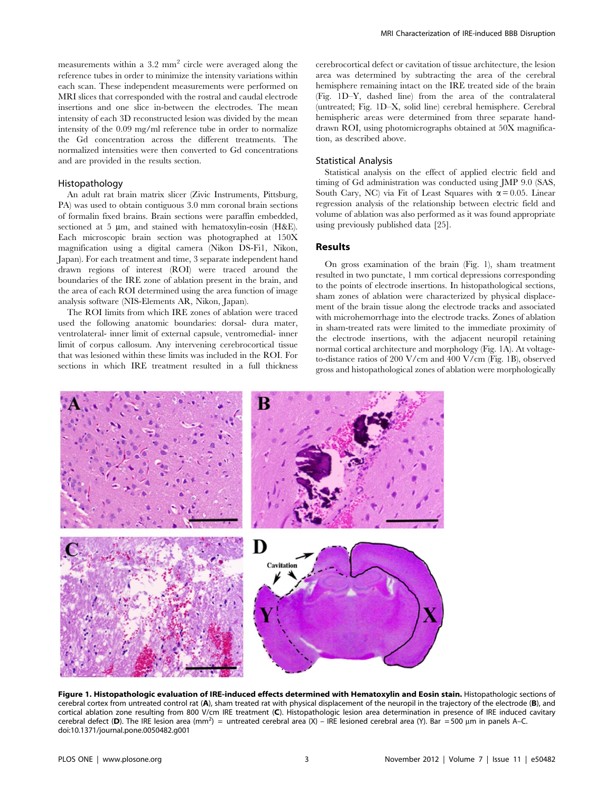measurements within a 3.2 mm<sup>2</sup> circle were averaged along the reference tubes in order to minimize the intensity variations within each scan. These independent measurements were performed on MRI slices that corresponded with the rostral and caudal electrode insertions and one slice in-between the electrodes. The mean intensity of each 3D reconstructed lesion was divided by the mean intensity of the 0.09 mg/ml reference tube in order to normalize the Gd concentration across the different treatments. The normalized intensities were then converted to Gd concentrations and are provided in the results section.

#### Histopathology

An adult rat brain matrix slicer (Zivic Instruments, Pittsburg, PA) was used to obtain contiguous 3.0 mm coronal brain sections of formalin fixed brains. Brain sections were paraffin embedded, sectioned at 5  $\mu$ m, and stained with hematoxylin-eosin (H&E). Each microscopic brain section was photographed at 150X magnification using a digital camera (Nikon DS-Fi1, Nikon, Japan). For each treatment and time, 3 separate independent hand drawn regions of interest (ROI) were traced around the boundaries of the IRE zone of ablation present in the brain, and the area of each ROI determined using the area function of image analysis software (NIS-Elements AR, Nikon, Japan).

The ROI limits from which IRE zones of ablation were traced used the following anatomic boundaries: dorsal- dura mater, ventrolateral- inner limit of external capsule, ventromedial- inner limit of corpus callosum. Any intervening cerebrocortical tissue that was lesioned within these limits was included in the ROI. For sections in which IRE treatment resulted in a full thickness

cerebrocortical defect or cavitation of tissue architecture, the lesion area was determined by subtracting the area of the cerebral hemisphere remaining intact on the IRE treated side of the brain (Fig. 1D–Y, dashed line) from the area of the contralateral (untreated; Fig. 1D–X, solid line) cerebral hemisphere. Cerebral hemispheric areas were determined from three separate handdrawn ROI, using photomicrographs obtained at 50X magnification, as described above.

#### Statistical Analysis

Statistical analysis on the effect of applied electric field and timing of Gd administration was conducted using JMP 9.0 (SAS, South Cary, NC) via Fit of Least Squares with  $\alpha$  = 0.05. Linear regression analysis of the relationship between electric field and volume of ablation was also performed as it was found appropriate using previously published data [25].

# Results

On gross examination of the brain (Fig. 1), sham treatment resulted in two punctate, 1 mm cortical depressions corresponding to the points of electrode insertions. In histopathological sections, sham zones of ablation were characterized by physical displacement of the brain tissue along the electrode tracks and associated with microhemorrhage into the electrode tracks. Zones of ablation in sham-treated rats were limited to the immediate proximity of the electrode insertions, with the adjacent neuropil retaining normal cortical architecture and morphology (Fig. 1A). At voltageto-distance ratios of 200 V/cm and 400 V/cm (Fig. 1B), observed gross and histopathological zones of ablation were morphologically



Figure 1. Histopathologic evaluation of IRE-induced effects determined with Hematoxylin and Eosin stain. Histopathologic sections of cerebral cortex from untreated control rat (A), sham treated rat with physical displacement of the neuropil in the trajectory of the electrode (B), and cortical ablation zone resulting from 800 V/cm IRE treatment (C). Histopathologic lesion area determination in presence of IRE induced cavitary cerebral defect (D). The IRE lesion area (mm<sup>2</sup>) = untreated cerebral area (X) – IRE lesioned cerebral area (Y). Bar = 500 µm in panels A–C. doi:10.1371/journal.pone.0050482.g001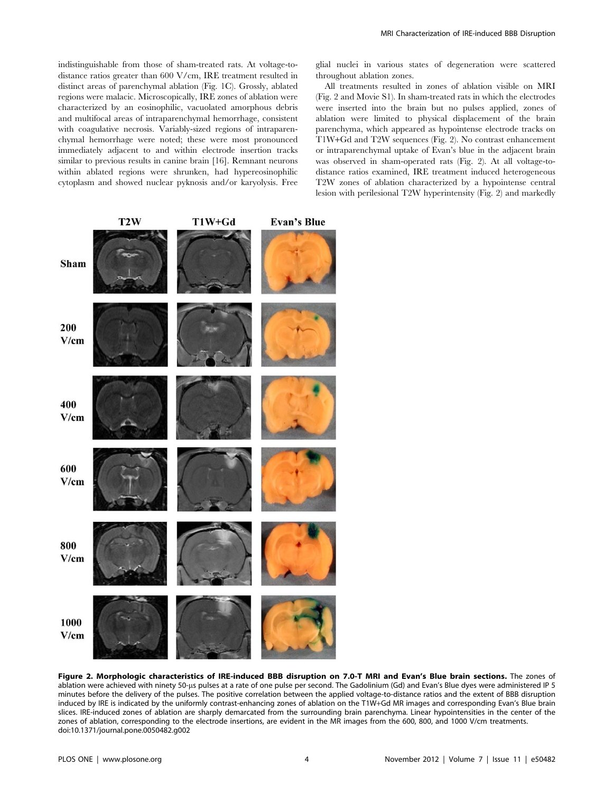indistinguishable from those of sham-treated rats. At voltage-todistance ratios greater than 600 V/cm, IRE treatment resulted in distinct areas of parenchymal ablation (Fig. 1C). Grossly, ablated regions were malacic. Microscopically, IRE zones of ablation were characterized by an eosinophilic, vacuolated amorphous debris and multifocal areas of intraparenchymal hemorrhage, consistent with coagulative necrosis. Variably-sized regions of intraparenchymal hemorrhage were noted; these were most pronounced immediately adjacent to and within electrode insertion tracks similar to previous results in canine brain [16]. Remnant neurons within ablated regions were shrunken, had hypereosinophilic cytoplasm and showed nuclear pyknosis and/or karyolysis. Free

glial nuclei in various states of degeneration were scattered throughout ablation zones.

All treatments resulted in zones of ablation visible on MRI (Fig. 2 and Movie S1). In sham-treated rats in which the electrodes were inserted into the brain but no pulses applied, zones of ablation were limited to physical displacement of the brain parenchyma, which appeared as hypointense electrode tracks on T1W+Gd and T2W sequences (Fig. 2). No contrast enhancement or intraparenchymal uptake of Evan's blue in the adjacent brain was observed in sham-operated rats (Fig. 2). At all voltage-todistance ratios examined, IRE treatment induced heterogeneous T2W zones of ablation characterized by a hypointense central lesion with perilesional T2W hyperintensity (Fig. 2) and markedly



Figure 2. Morphologic characteristics of IRE-induced BBB disruption on 7.0-T MRI and Evan's Blue brain sections. The zones of ablation were achieved with ninety 50-us pulses at a rate of one pulse per second. The Gadolinium (Gd) and Evan's Blue dyes were administered IP 5 minutes before the delivery of the pulses. The positive correlation between the applied voltage-to-distance ratios and the extent of BBB disruption induced by IRE is indicated by the uniformly contrast-enhancing zones of ablation on the T1W+Gd MR images and corresponding Evan's Blue brain slices. IRE-induced zones of ablation are sharply demarcated from the surrounding brain parenchyma. Linear hypointensities in the center of the zones of ablation, corresponding to the electrode insertions, are evident in the MR images from the 600, 800, and 1000 V/cm treatments. doi:10.1371/journal.pone.0050482.g002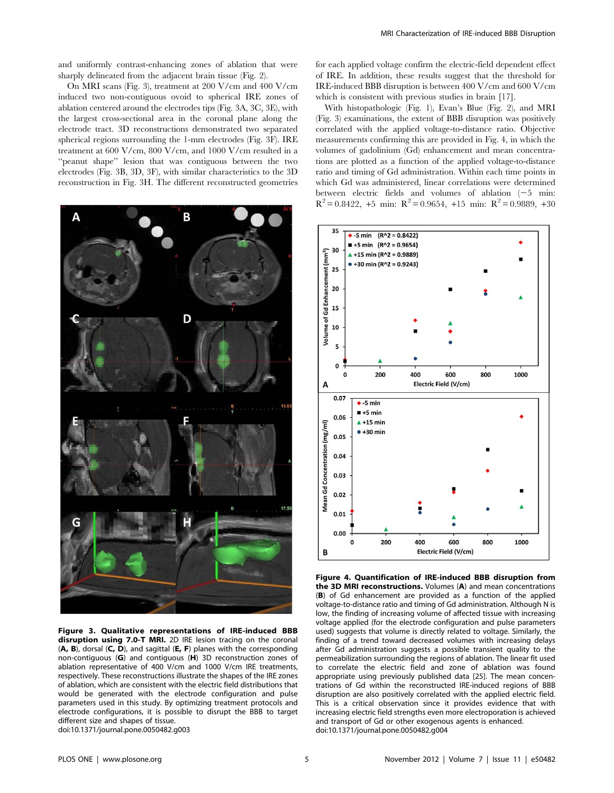and uniformly contrast-enhancing zones of ablation that were sharply delineated from the adjacent brain tissue (Fig. 2).

On MRI scans (Fig. 3), treatment at 200 V/cm and 400 V/cm induced two non-contiguous ovoid to spherical IRE zones of ablation centered around the electrodes tips (Fig. 3A, 3C, 3E), with the largest cross-sectional area in the coronal plane along the electrode tract. 3D reconstructions demonstrated two separated spherical regions surrounding the 1-mm electrodes (Fig. 3F). IRE treatment at 600 V/cm, 800 V/cm, and 1000 V/cm resulted in a ''peanut shape'' lesion that was contiguous between the two electrodes (Fig. 3B, 3D, 3F), with similar characteristics to the 3D reconstruction in Fig. 3H. The different reconstructed geometries



Figure 3. Qualitative representations of IRE-induced BBB disruption using 7.0-T MRI. 2D IRE lesion tracing on the coronal (A, B), dorsal (C, D), and sagittal (E, F) planes with the corresponding non-contiguous (G) and contiguous (H) 3D reconstruction zones of ablation representative of 400 V/cm and 1000 V/cm IRE treatments, respectively. These reconstructions illustrate the shapes of the IRE zones of ablation, which are consistent with the electric field distributions that would be generated with the electrode configuration and pulse parameters used in this study. By optimizing treatment protocols and electrode configurations, it is possible to disrupt the BBB to target different size and shapes of tissue. doi:10.1371/journal.pone.0050482.g003

for each applied voltage confirm the electric-field dependent effect of IRE. In addition, these results suggest that the threshold for IRE-induced BBB disruption is between 400 V/cm and 600 V/cm which is consistent with previous studies in brain [17].

With histopathologic (Fig. 1), Evan's Blue (Fig. 2), and MRI (Fig. 3) examinations, the extent of BBB disruption was positively correlated with the applied voltage-to-distance ratio. Objective measurements confirming this are provided in Fig. 4, in which the volumes of gadolinium (Gd) enhancement and mean concentrations are plotted as a function of the applied voltage-to-distance ratio and timing of Gd administration. Within each time points in which Gd was administered, linear correlations were determined between electric fields and volumes of ablation  $(-5 \text{ min:}$  $R^{2} = 0.8422$ , +5 min:  $R^{2} = 0.9654$ , +15 min:  $R^{2} = 0.9889$ , +30



Figure 4. Quantification of IRE-induced BBB disruption from the 3D MRI reconstructions. Volumes (A) and mean concentrations (B) of Gd enhancement are provided as a function of the applied voltage-to-distance ratio and timing of Gd administration. Although N is low, the finding of increasing volume of affected tissue with increasing voltage applied (for the electrode configuration and pulse parameters used) suggests that volume is directly related to voltage. Similarly, the finding of a trend toward decreased volumes with increasing delays after Gd administration suggests a possible transient quality to the permeabilization surrounding the regions of ablation. The linear fit used to correlate the electric field and zone of ablation was found appropriate using previously published data [25]. The mean concentrations of Gd within the reconstructed IRE-induced regions of BBB disruption are also positively correlated with the applied electric field. This is a critical observation since it provides evidence that with increasing electric field strengths even more electroporation is achieved and transport of Gd or other exogenous agents is enhanced. doi:10.1371/journal.pone.0050482.g004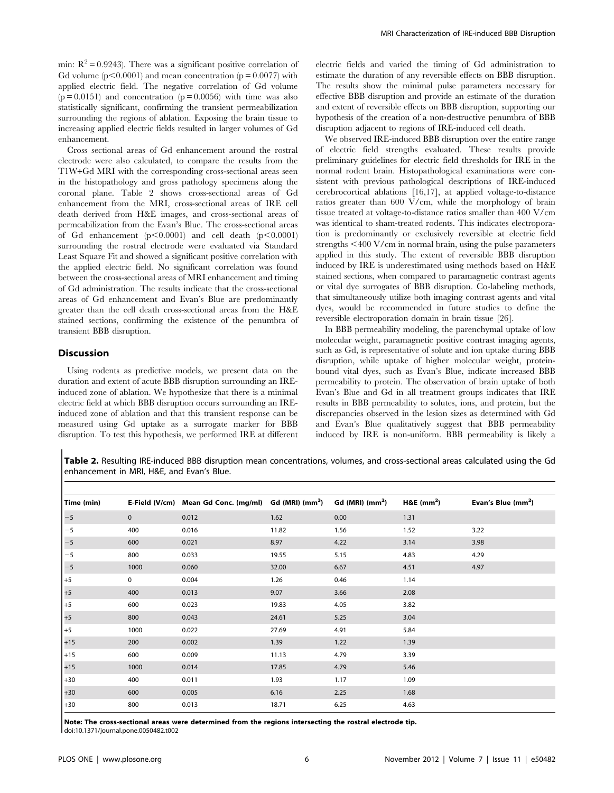min:  $R^2 = 0.9243$ ). There was a significant positive correlation of Gd volume ( $p<0.0001$ ) and mean concentration ( $p = 0.0077$ ) with applied electric field. The negative correlation of Gd volume  $(p = 0.0151)$  and concentration  $(p = 0.0056)$  with time was also statistically significant, confirming the transient permeabilization surrounding the regions of ablation. Exposing the brain tissue to increasing applied electric fields resulted in larger volumes of Gd enhancement.

Cross sectional areas of Gd enhancement around the rostral electrode were also calculated, to compare the results from the T1W+Gd MRI with the corresponding cross-sectional areas seen in the histopathology and gross pathology specimens along the coronal plane. Table 2 shows cross-sectional areas of Gd enhancement from the MRI, cross-sectional areas of IRE cell death derived from H&E images, and cross-sectional areas of permeabilization from the Evan's Blue. The cross-sectional areas of Gd enhancement  $(p<0.0001)$  and cell death  $(p<0.0001)$ surrounding the rostral electrode were evaluated via Standard Least Square Fit and showed a significant positive correlation with the applied electric field. No significant correlation was found between the cross-sectional areas of MRI enhancement and timing of Gd administration. The results indicate that the cross-sectional areas of Gd enhancement and Evan's Blue are predominantly greater than the cell death cross-sectional areas from the H&E stained sections, confirming the existence of the penumbra of transient BBB disruption.

# Discussion

Using rodents as predictive models, we present data on the duration and extent of acute BBB disruption surrounding an IREinduced zone of ablation. We hypothesize that there is a minimal electric field at which BBB disruption occurs surrounding an IREinduced zone of ablation and that this transient response can be measured using Gd uptake as a surrogate marker for BBB disruption. To test this hypothesis, we performed IRE at different

electric fields and varied the timing of Gd administration to estimate the duration of any reversible effects on BBB disruption. The results show the minimal pulse parameters necessary for effective BBB disruption and provide an estimate of the duration and extent of reversible effects on BBB disruption, supporting our hypothesis of the creation of a non-destructive penumbra of BBB disruption adjacent to regions of IRE-induced cell death.

We observed IRE-induced BBB disruption over the entire range of electric field strengths evaluated. These results provide preliminary guidelines for electric field thresholds for IRE in the normal rodent brain. Histopathological examinations were consistent with previous pathological descriptions of IRE-induced cerebrocortical ablations [16,17], at applied voltage-to-distance ratios greater than 600 V/cm, while the morphology of brain tissue treated at voltage-to-distance ratios smaller than 400 V/cm was identical to sham-treated rodents. This indicates electroporation is predominantly or exclusively reversible at electric field strengths  $\leq 400$  V/cm in normal brain, using the pulse parameters applied in this study. The extent of reversible BBB disruption induced by IRE is underestimated using methods based on H&E stained sections, when compared to paramagnetic contrast agents or vital dye surrogates of BBB disruption. Co-labeling methods, that simultaneously utilize both imaging contrast agents and vital dyes, would be recommended in future studies to define the reversible electroporation domain in brain tissue [26].

In BBB permeability modeling, the parenchymal uptake of low molecular weight, paramagnetic positive contrast imaging agents, such as Gd, is representative of solute and ion uptake during BBB disruption, while uptake of higher molecular weight, proteinbound vital dyes, such as Evan's Blue, indicate increased BBB permeability to protein. The observation of brain uptake of both Evan's Blue and Gd in all treatment groups indicates that IRE results in BBB permeability to solutes, ions, and protein, but the discrepancies observed in the lesion sizes as determined with Gd and Evan's Blue qualitatively suggest that BBB permeability induced by IRE is non-uniform. BBB permeability is likely a

Table 2. Resulting IRE-induced BBB disruption mean concentrations, volumes, and cross-sectional areas calculated using the Gd enhancement in MRI, H&E, and Evan's Blue.

| Time (min) |      | E-Field (V/cm) Mean Gd Conc. (mg/ml) Gd (MRI) (mm <sup>3</sup> ) |       | Gd (MRI) $(mm2)$ | H&E $(mm2)$ | Evan's Blue $(mm2)$ |
|------------|------|------------------------------------------------------------------|-------|------------------|-------------|---------------------|
| $-5$       | 0    | 0.012                                                            | 1.62  | 0.00             | 1.31        |                     |
| $-5$       | 400  | 0.016                                                            | 11.82 | 1.56             | 1.52        | 3.22                |
| $-5$       | 600  | 0.021                                                            | 8.97  | 4.22             | 3.14        | 3.98                |
| $-5$       | 800  | 0.033                                                            | 19.55 | 5.15             | 4.83        | 4.29                |
| $-5$       | 1000 | 0.060                                                            | 32.00 | 6.67             | 4.51        | 4.97                |
| $+5$       | 0    | 0.004                                                            | 1.26  | 0.46             | 1.14        |                     |
| $+5$       | 400  | 0.013                                                            | 9.07  | 3.66             | 2.08        |                     |
| $+5$       | 600  | 0.023                                                            | 19.83 | 4.05             | 3.82        |                     |
| $+5$       | 800  | 0.043                                                            | 24.61 | 5.25             | 3.04        |                     |
| $+5$       | 1000 | 0.022                                                            | 27.69 | 4.91             | 5.84        |                     |
| $+15$      | 200  | 0.002                                                            | 1.39  | 1.22             | 1.39        |                     |
| $+15$      | 600  | 0.009                                                            | 11.13 | 4.79             | 3.39        |                     |
| $+15$      | 1000 | 0.014                                                            | 17.85 | 4.79             | 5.46        |                     |
| $+30$      | 400  | 0.011                                                            | 1.93  | 1.17             | 1.09        |                     |
| $+30$      | 600  | 0.005                                                            | 6.16  | 2.25             | 1.68        |                     |
| $+30$      | 800  | 0.013                                                            | 18.71 | 6.25             | 4.63        |                     |

Note: The cross-sectional areas were determined from the regions intersecting the rostral electrode tip. doi:10.1371/journal.pone.0050482.t002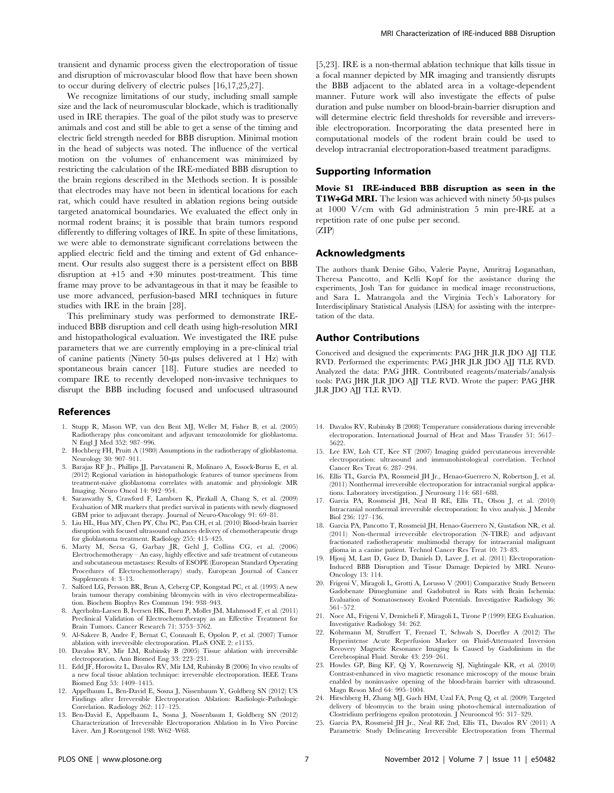transient and dynamic process given the electroporation of tissue and disruption of microvascular blood flow that have been shown to occur during delivery of electric pulses [16,17,25,27].

We recognize limitations of our study, including small sample size and the lack of neuromuscular blockade, which is traditionally used in IRE therapies. The goal of the pilot study was to preserve animals and cost and still be able to get a sense of the timing and electric field strength needed for BBB disruption. Minimal motion in the head of subjects was noted. The influence of the vertical motion on the volumes of enhancement was minimized by restricting the calculation of the IRE-mediated BBB disruption to the brain regions described in the Methods section. It is possible that electrodes may have not been in identical locations for each rat, which could have resulted in ablation regions being outside targeted anatomical boundaries. We evaluated the effect only in normal rodent brains; it is possible that brain tumors respond differently to differing voltages of IRE. In spite of these limitations, we were able to demonstrate significant correlations between the applied electric field and the timing and extent of Gd enhancement. Our results also suggest there is a persistent effect on BBB disruption at +15 and +30 minutes post-treatment. This time frame may prove to be advantageous in that it may be feasible to use more advanced, perfusion-based MRI techniques in future studies with IRE in the brain [28].

This preliminary study was performed to demonstrate IREinduced BBB disruption and cell death using high-resolution MRI and histopathological evaluation. We investigated the IRE pulse parameters that we are currently employing in a pre-clinical trial of canine patients (Ninety  $50$ - $\mu s$  pulses delivered at 1 Hz) with spontaneous brain cancer [18]. Future studies are needed to compare IRE to recently developed non-invasive techniques to disrupt the BBB including focused and unfocused ultrasound

#### References

- 1. Stupp R, Mason WP, van den Bent MJ, Weller M, Fisher B, et al. (2005) Radiotherapy plus concomitant and adjuvant temozolomide for glioblastoma. N Engl J Med 352: 987–996.
- 2. Hochberg FH, Pruitt A (1980) Assumptions in the radiotherapy of glioblastoma. Neurology 30: 907–911.
- 3. Barajas RF Jr., Phillips JJ, Parvataneni R, Molinaro A, Essock-Burns E, et al. (2012) Regional variation in histopathologic features of tumor specimens from treatment-naive glioblastoma correlates with anatomic and physiologic MR Imaging. Neuro Oncol 14: 942–954.
- 4. Saraswathy S, Crawford F, Lamborn K, Pirzkall A, Chang S, et al. (2009) Evaluation of MR markers that predict survival in patients with newly diagnosed GBM prior to adjuvant therapy. Journal of Neuro-Oncology 91: 69–81.
- 5. Liu HL, Hua MY, Chen PY, Chu PC, Pan CH, et al. (2010) Blood-brain barrier disruption with focused ultrasound enhances delivery of chemotherapeutic drugs for glioblastoma treatment. Radiology 255: 415–425.
- 6. Marty M, Sersa G, Garbay JR, Gehl J, Collins CG, et al. (2006) Electrochemotherapy – An easy, highly effective and safe treatment of cutaneous and subcutaneous metastases: Results of ESOPE (European Standard Operating Procedures of Electrochemotherapy) study. European Journal of Cancer Supplements 4: 3–13.
- 7. Salford LG, Persson BR, Brun A, Ceberg CP, Kongstad PC, et al. (1993) A new brain tumour therapy combining bleomycin with in vivo electropermeabilization. Biochem Biophys Res Commun 194: 938–943.
- 8. Agerholm-Larsen B, Iversen HK, Ibsen P, Moller JM, Mahmood F, et al. (2011) Preclinical Validation of Electrochemotherapy as an Effective Treatment for Brain Tumors. Cancer Research 71: 3753–3762.
- 9. Al-Sakere B, Andre F, Bernat C, Connault E, Opolon P, et al. (2007) Tumor ablation with irreversible electroporation. PLoS ONE 2: e1135.
- 10. Davalos RV, Mir LM, Rubinsky B (2005) Tissue ablation with irreversible electroporation. Ann Biomed Eng 33: 223–231.
- 11. Edd JF, Horowitz L, Davalos RV, Mir LM, Rubinsky B (2006) In vivo results of a new focal tissue ablation technique: irreversible electroporation. IEEE Trans Biomed Eng 53: 1409–1415.
- 12. Appelbaum L, Ben-David E, Sosna J, Nissenbaum Y, Goldberg SN (2012) US Findings after Irreversible Electroporation Ablation: Radiologic-Pathologic Correlation. Radiology 262: 117–125.
- 13. Ben-David E, Appelbaum L, Sosna J, Nissenbaum I, Goldberg SN (2012) Characterization of Irreversible Electroporation Ablation in In Vivo Porcine Liver. Am J Roentgenol 198: W62–W68.

[5,23]. IRE is a non-thermal ablation technique that kills tissue in a focal manner depicted by MR imaging and transiently disrupts the BBB adjacent to the ablated area in a voltage-dependent manner. Future work will also investigate the effects of pulse duration and pulse number on blood-brain-barrier disruption and will determine electric field thresholds for reversible and irreversible electroporation. Incorporating the data presented here in computational models of the rodent brain could be used to develop intracranial electroporation-based treatment paradigms.

#### Supporting Information

Movie S1 IRE-induced BBB disruption as seen in the T1W+Gd MRI. The lesion was achieved with ninety 50-us pulses at 1000 V/cm with Gd administration 5 min pre-IRE at a repetition rate of one pulse per second.  $(ZIP)$ 

#### Acknowledgments

The authors thank Denise Gibo, Valerie Payne, Amritraj Loganathan, Theresa Pancotto, and Kelli Kopf for the assistance during the experiments, Josh Tan for guidance in medical image reconstructions, and Sara L. Matrangola and the Virginia Tech's Laboratory for Interdisciplinary Statistical Analysis (LISA) for assisting with the interpretation of the data.

# Author Contributions

Conceived and designed the experiments: PAG JHR JLR JDO AJJ TLE RVD. Performed the experiments: PAG JHR JLR JDO AJJ TLE RVD. Analyzed the data: PAG JHR. Contributed reagents/materials/analysis tools: PAG JHR JLR JDO AJJ TLE RVD. Wrote the paper: PAG JHR JLR JDO AJJ TLE RVD.

- 14. Davalos RV, Rubinsky B (2008) Temperature considerations during irreversible electroporation. International Journal of Heat and Mass Transfer 51: 5617– 5622.
- 15. Lee EW, Loh CT, Kee ST (2007) Imaging guided percutaneous irreversible electroporation: ultrasound and immunohistological correlation. Technol Cancer Res Treat 6: 287–294.
- 16. Ellis TL, Garcia PA, Rossmeisl JH Jr., Henao-Guerrero N, Robertson J, et al. (2011) Nonthermal irreversible electroporation for intracranial surgical applications. Laboratory investigation. J Neurosurg 114: 681–688.
- 17. Garcia PA, Rossmeisl JH, Neal II RE, Ellis TL, Olson J, et al. (2010) Intracranial nonthermal irreversible electroporation: In vivo analysis. J Membr Biol 236: 127–136.
- 18. Garcia PA, Pancotto T, Rossmeisl JH, Henao-Guerrero N, Gustafson NR, et al. (2011) Non-thermal irreversible electroporation (N-TIRE) and adjuvant fractionated radiotherapeutic multimodal therapy for intracranial malignant glioma in a canine patient. Technol Cancer Res Treat 10: 73–83.
- 19. Hjouj M, Last D, Guez D, Daniels D, Lavee J, et al. (2011) Electroporation-Induced BBB Disruption and Tissue Damage Depicted by MRI. Neuro-Oncology 13: 114.
- 20. Frigeni V, Miragoli L, Grotti A, Lorusso V (2001) Comparative Study Between Gadobenate Dimeglumine and Gadobutrol in Rats with Brain Ischemia: Evaluation of Somatosensory Evoked Potentials. Investigative Radiology 36: 561–572.
- 21. Noce AL, Frigeni V, Demicheli F, Miragoli L, Tirone P (1999) EEG Evaluation. Investigative Radiology 34: 262.
- 22. Köhrmann M, Struffert T, Frenzel T, Schwab S, Doerfler A (2012) The Hyperintense Acute Reperfusion Marker on Fluid-Attenuated Inversion Recovery Magnetic Resonance Imaging Is Caused by Gadolinium in the Cerebrospinal Fluid. Stroke 43: 259–261.
- 23. Howles GP, Bing KF, Qi Y, Rosenzweig SJ, Nightingale KR, et al. (2010) Contrast-enhanced in vivo magnetic resonance microscopy of the mouse brain enabled by noninvasive opening of the blood-brain barrier with ultrasound. Magn Reson Med 64: 995–1004.
- 24. Hirschberg H, Zhang MJ, Gach HM, Uzal FA, Peng Q, et al. (2009) Targeted delivery of bleomycin to the brain using photo-chemical internalization of Clostridium perfringens epsilon prototoxin. J Neurooncol 95: 317–329.
- 25. Garcia PA, Rossmeisl JH Jr., Neal RE 2nd, Ellis TL, Davalos RV (2011) A Parametric Study Delineating Irreversible Electroporation from Thermal